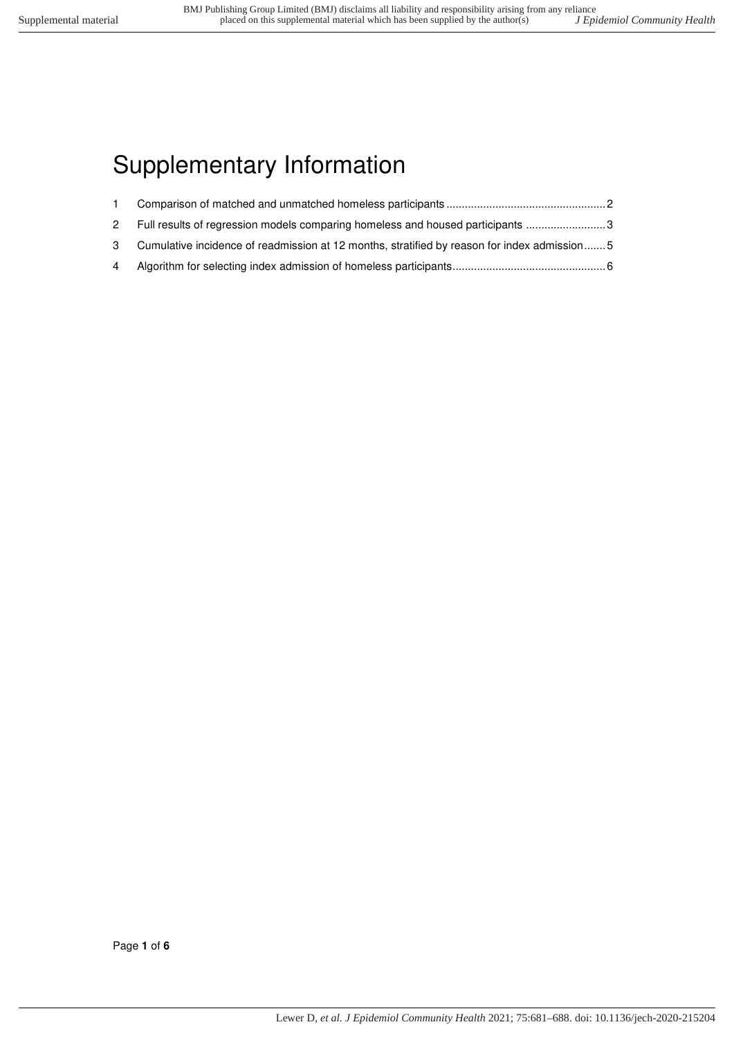# Supplementary Information

| 2 Full results of regression models comparing homeless and housed participants 3              |  |
|-----------------------------------------------------------------------------------------------|--|
| 3 Cumulative incidence of readmission at 12 months, stratified by reason for index admission5 |  |
|                                                                                               |  |

Page **1** of **6**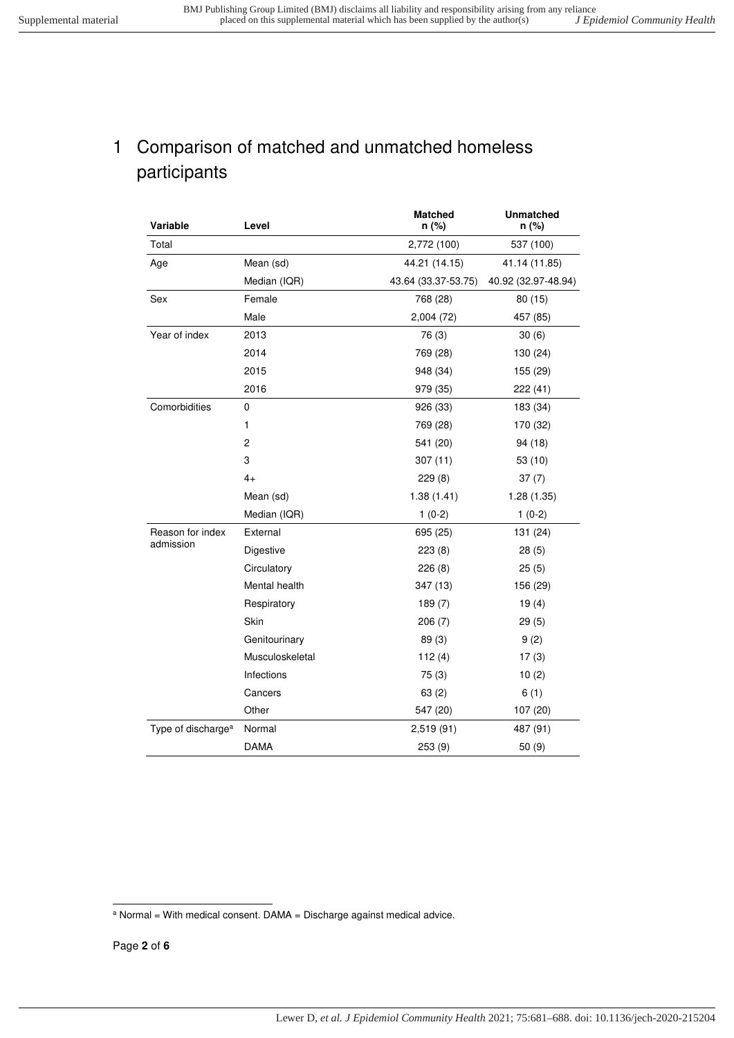#### <span id="page-1-0"></span>1 Comparison of matched and unmatched homeless participants

| Variable                       | Level           | <b>Matched</b><br>n (%) | <b>Unmatched</b><br>n (%) |
|--------------------------------|-----------------|-------------------------|---------------------------|
| Total                          |                 | 2,772 (100)             | 537 (100)                 |
| Age                            | Mean (sd)       | 44.21 (14.15)           | 41.14 (11.85)             |
|                                | Median (IQR)    | 43.64 (33.37-53.75)     | 40.92 (32.97-48.94)       |
| Sex                            | Female          | 768 (28)                | 80(15)                    |
|                                | Male            | 2,004 (72)              | 457 (85)                  |
| Year of index                  | 2013            | 76 (3)                  | 30(6)                     |
|                                | 2014            | 769 (28)                | 130 (24)                  |
|                                | 2015            | 948 (34)                | 155 (29)                  |
|                                | 2016            | 979 (35)                | 222 (41)                  |
| Comorbidities                  | 0               | 926 (33)                | 183 (34)                  |
|                                | 1               | 769 (28)                | 170 (32)                  |
|                                | $\overline{c}$  | 541 (20)                | 94 (18)                   |
|                                | 3               | 307(11)                 | 53(10)                    |
|                                | $4+$            | 229(8)                  | 37(7)                     |
|                                | Mean (sd)       | 1.38(1.41)              | 1.28(1.35)                |
|                                | Median (IQR)    | $1(0-2)$                | $1(0-2)$                  |
| Reason for index               | External        | 695 (25)                | 131 (24)                  |
| admission                      | Digestive       | 223(8)                  | 28(5)                     |
|                                | Circulatory     | 226(8)                  | 25(5)                     |
|                                | Mental health   | 347 (13)                | 156 (29)                  |
|                                | Respiratory     | 189(7)                  | 19(4)                     |
|                                | Skin            | 206(7)                  | 29(5)                     |
|                                | Genitourinary   | 89 (3)                  | 9(2)                      |
|                                | Musculoskeletal | 112(4)                  | 17(3)                     |
|                                | Infections      | 75(3)                   | 10(2)                     |
|                                | Cancers         | 63(2)                   | 6(1)                      |
|                                | Other           | 547 (20)                | 107 (20)                  |
| Type of discharge <sup>a</sup> | Normal          | 2,519 (91)              | 487 (91)                  |
|                                | DAMA            | 253 (9)                 | 50(9)                     |

 a Normal = With medical consent. DAMA = Discharge against medical advice.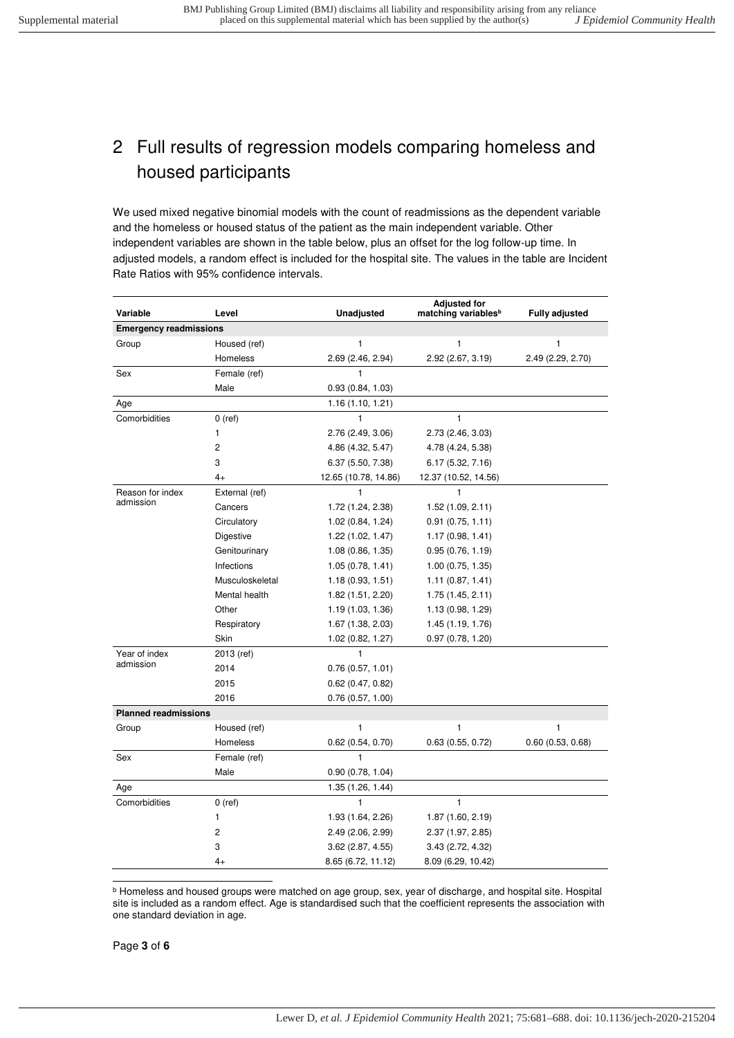## <span id="page-2-0"></span>2 Full results of regression models comparing homeless and housed participants

We used mixed negative binomial models with the count of readmissions as the dependent variable and the homeless or housed status of the patient as the main independent variable. Other independent variables are shown in the table below, plus an offset for the log follow-up time. In adjusted models, a random effect is included for the hospital site. The values in the table are Incident Rate Ratios with 95% confidence intervals.

| Variable                      | Level           | Unadjusted           | <b>Adjusted for</b><br>matching variables <sup>b</sup> | <b>Fully adjusted</b> |
|-------------------------------|-----------------|----------------------|--------------------------------------------------------|-----------------------|
| <b>Emergency readmissions</b> |                 |                      |                                                        |                       |
| Group                         | Housed (ref)    | 1                    | 1                                                      | 1                     |
|                               | Homeless        | 2.69 (2.46, 2.94)    | 2.92 (2.67, 3.19)                                      | 2.49 (2.29, 2.70)     |
| Sex                           | Female (ref)    | 1                    |                                                        |                       |
|                               | Male            | 0.93(0.84, 1.03)     |                                                        |                       |
| Age                           |                 | 1.16(1.10, 1.21)     |                                                        |                       |
| Comorbidities                 | $0$ (ref)       | $\mathbf{1}$         | $\mathbf{1}$                                           |                       |
|                               | 1               | 2.76 (2.49, 3.06)    | 2.73 (2.46, 3.03)                                      |                       |
|                               | $\overline{2}$  | 4.86 (4.32, 5.47)    | 4.78 (4.24, 5.38)                                      |                       |
|                               | 3               | 6.37 (5.50, 7.38)    | 6.17 (5.32, 7.16)                                      |                       |
|                               | $4+$            | 12.65 (10.78, 14.86) | 12.37 (10.52, 14.56)                                   |                       |
| Reason for index              | External (ref)  | 1                    | 1                                                      |                       |
| admission                     | Cancers         | 1.72 (1.24, 2.38)    | 1.52(1.09, 2.11)                                       |                       |
|                               | Circulatory     | 1.02(0.84, 1.24)     | 0.91(0.75, 1.11)                                       |                       |
|                               | Digestive       | 1.22 (1.02, 1.47)    | 1.17(0.98, 1.41)                                       |                       |
|                               | Genitourinary   | 1.08(0.86, 1.35)     | 0.95(0.76, 1.19)                                       |                       |
|                               | Infections      | 1.05(0.78, 1.41)     | 1.00(0.75, 1.35)                                       |                       |
|                               | Musculoskeletal | 1.18(0.93, 1.51)     | 1.11(0.87, 1.41)                                       |                       |
|                               | Mental health   | 1.82(1.51, 2.20)     | 1.75(1.45, 2.11)                                       |                       |
|                               | Other           | 1.19(1.03, 1.36)     | 1.13(0.98, 1.29)                                       |                       |
|                               | Respiratory     | 1.67(1.38, 2.03)     | 1.45 (1.19, 1.76)                                      |                       |
|                               | Skin            | 1.02 (0.82, 1.27)    | 0.97(0.78, 1.20)                                       |                       |
| Year of index                 | 2013 (ref)      | $\mathbf{1}$         |                                                        |                       |
| admission                     | 2014            | 0.76(0.57, 1.01)     |                                                        |                       |
|                               | 2015            | 0.62(0.47, 0.82)     |                                                        |                       |
|                               | 2016            | 0.76(0.57, 1.00)     |                                                        |                       |
| <b>Planned readmissions</b>   |                 |                      |                                                        |                       |
| Group                         | Housed (ref)    | 1                    | $\mathbf{1}$                                           | 1                     |
|                               | Homeless        | 0.62(0.54, 0.70)     | 0.63(0.55, 0.72)                                       | 0.60(0.53, 0.68)      |
| Sex                           | Female (ref)    | $\mathbf{1}$         |                                                        |                       |
|                               | Male            | 0.90(0.78, 1.04)     |                                                        |                       |
| Age                           |                 | 1.35 (1.26, 1.44)    |                                                        |                       |
| Comorbidities                 | $0$ (ref)       | $\mathbf{1}$         | $\mathbf{1}$                                           |                       |
|                               | 1               | 1.93 (1.64, 2.26)    | 1.87(1.60, 2.19)                                       |                       |
|                               | $\overline{2}$  | 2.49(2.06, 2.99)     | 2.37 (1.97, 2.85)                                      |                       |
|                               | 3               | $3.62$ (2.87, 4.55)  | 3.43 (2.72, 4.32)                                      |                       |
|                               | 4+              | 8.65 (6.72, 11.12)   | 8.09 (6.29, 10.42)                                     |                       |

 b Homeless and housed groups were matched on age group, sex, year of discharge, and hospital site. Hospital site is included as a random effect. Age is standardised such that the coefficient represents the association with one standard deviation in age.

Page **3** of **6**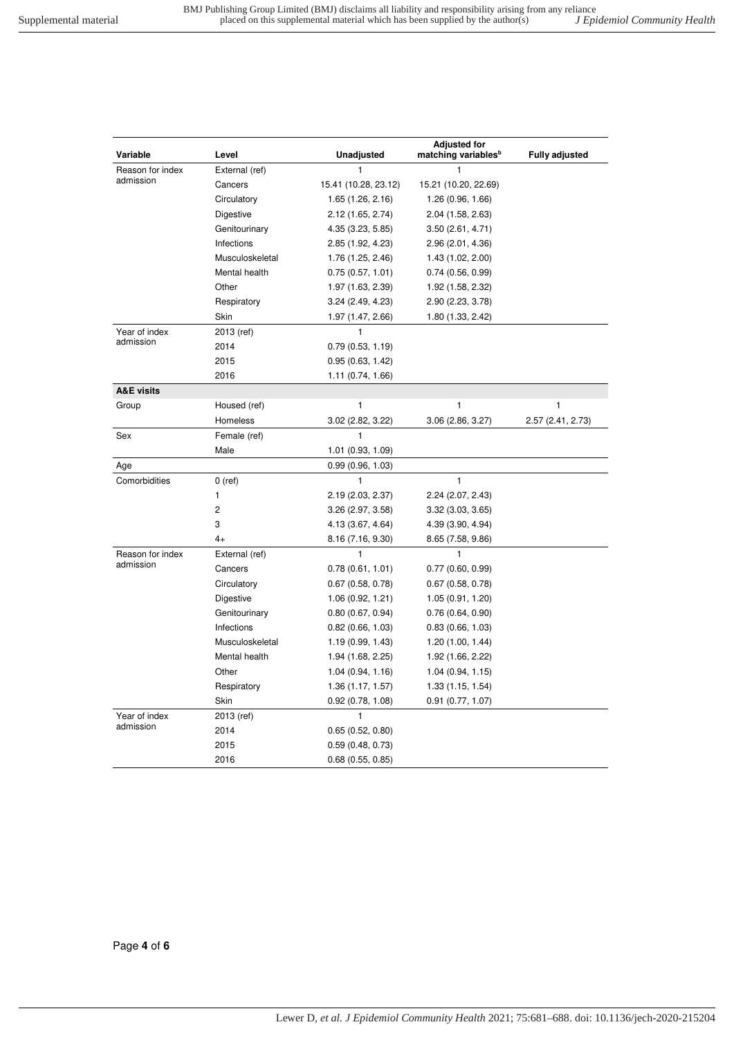| Variable              | Level           | <b>Unadjusted</b>    | <b>Adjusted for</b><br>matching variables <sup>b</sup> | <b>Fully adjusted</b> |
|-----------------------|-----------------|----------------------|--------------------------------------------------------|-----------------------|
| Reason for index      | External (ref)  | 1                    | 1                                                      |                       |
| admission             | Cancers         | 15.41 (10.28, 23.12) | 15.21 (10.20, 22.69)                                   |                       |
|                       | Circulatory     | 1.65(1.26, 2.16)     | 1.26(0.96, 1.66)                                       |                       |
|                       | Digestive       | 2.12 (1.65, 2.74)    | 2.04 (1.58, 2.63)                                      |                       |
|                       | Genitourinary   | 4.35 (3.23, 5.85)    | 3.50(2.61, 4.71)                                       |                       |
|                       | Infections      | 2.85 (1.92, 4.23)    | 2.96 (2.01, 4.36)                                      |                       |
|                       | Musculoskeletal | 1.76 (1.25, 2.46)    | 1.43(1.02, 2.00)                                       |                       |
|                       | Mental health   | 0.75(0.57, 1.01)     | 0.74(0.56, 0.99)                                       |                       |
|                       | Other           | 1.97 (1.63, 2.39)    | 1.92 (1.58, 2.32)                                      |                       |
|                       | Respiratory     | 3.24(2.49, 4.23)     | 2.90 (2.23, 3.78)                                      |                       |
|                       | Skin            | 1.97 (1.47, 2.66)    | 1.80 (1.33, 2.42)                                      |                       |
| Year of index         | 2013 (ref)      | 1                    |                                                        |                       |
| admission             | 2014            | 0.79(0.53, 1.19)     |                                                        |                       |
|                       | 2015            | 0.95(0.63, 1.42)     |                                                        |                       |
|                       | 2016            | 1.11(0.74, 1.66)     |                                                        |                       |
| <b>A&amp;E visits</b> |                 |                      |                                                        |                       |
| Group                 | Housed (ref)    | 1                    | 1                                                      | 1                     |
|                       | Homeless        | 3.02 (2.82, 3.22)    | 3.06 (2.86, 3.27)                                      | 2.57 (2.41, 2.73)     |
| Sex                   | Female (ref)    | 1                    |                                                        |                       |
|                       | Male            | 1.01 (0.93, 1.09)    |                                                        |                       |
| Age                   |                 | 0.99(0.96, 1.03)     |                                                        |                       |
| Comorbidities         | $0$ (ref)       | 1                    | 1                                                      |                       |
|                       | 1               | 2.19(2.03, 2.37)     | 2.24 (2.07, 2.43)                                      |                       |
|                       | 2               | 3.26(2.97, 3.58)     | 3.32(3.03, 3.65)                                       |                       |
|                       | 3               | 4.13 (3.67, 4.64)    | 4.39 (3.90, 4.94)                                      |                       |
|                       | 4+              | 8.16 (7.16, 9.30)    | 8.65 (7.58, 9.86)                                      |                       |
| Reason for index      | External (ref)  | 1                    | 1                                                      |                       |
| admission             | Cancers         | 0.78(0.61, 1.01)     | 0.77(0.60, 0.99)                                       |                       |
|                       | Circulatory     | 0.67(0.58, 0.78)     | 0.67(0.58, 0.78)                                       |                       |
|                       | Digestive       | 1.06(0.92, 1.21)     | 1.05(0.91, 1.20)                                       |                       |
|                       | Genitourinary   | 0.80(0.67, 0.94)     | 0.76(0.64, 0.90)                                       |                       |
|                       | Infections      | 0.82(0.66, 1.03)     | 0.83(0.66, 1.03)                                       |                       |
|                       | Musculoskeletal | 1.19(0.99, 1.43)     | 1.20(1.00, 1.44)                                       |                       |
|                       | Mental health   | 1.94 (1.68, 2.25)    | 1.92 (1.66, 2.22)                                      |                       |
|                       | Other           | 1.04(0.94, 1.16)     | 1.04(0.94, 1.15)                                       |                       |
|                       | Respiratory     | 1.36(1.17, 1.57)     | 1.33 (1.15, 1.54)                                      |                       |
|                       | Skin            | 0.92(0.78, 1.08)     | 0.91(0.77, 1.07)                                       |                       |
| Year of index         | 2013 (ref)      | 1                    |                                                        |                       |
| admission             | 2014            | 0.65(0.52, 0.80)     |                                                        |                       |
|                       | 2015            | 0.59(0.48, 0.73)     |                                                        |                       |
|                       | 2016            | 0.68(0.55, 0.85)     |                                                        |                       |

Page **4** of **6**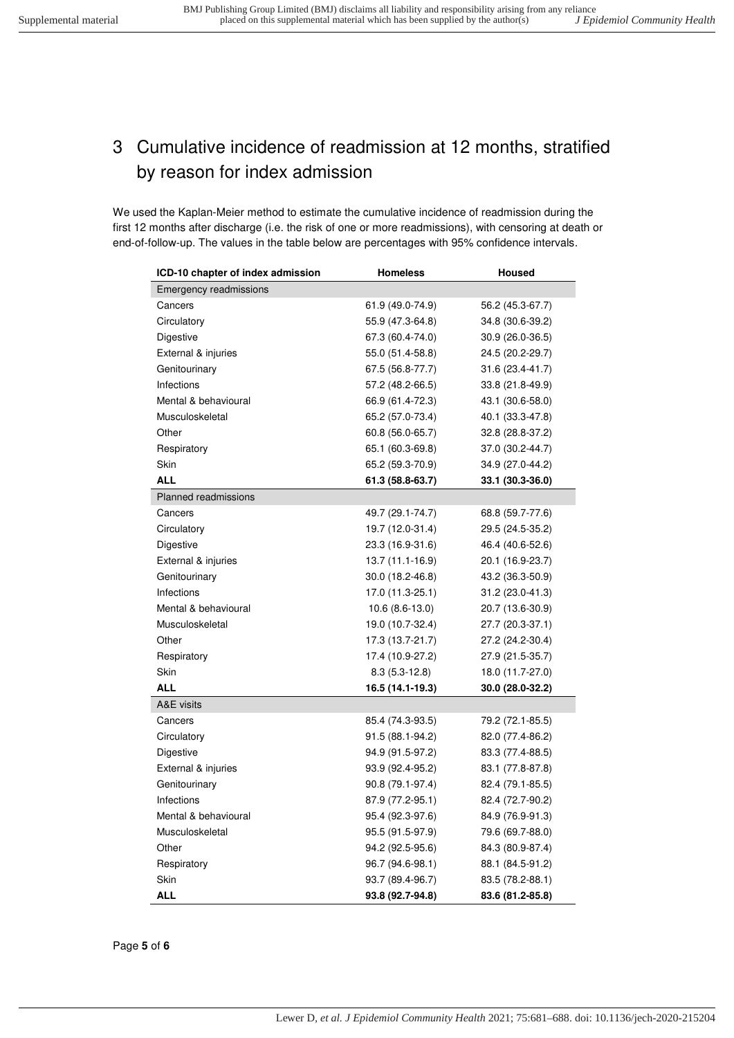## <span id="page-4-0"></span>3 Cumulative incidence of readmission at 12 months, stratified by reason for index admission

We used the Kaplan-Meier method to estimate the cumulative incidence of readmission during the first 12 months after discharge (i.e. the risk of one or more readmissions), with censoring at death or end-of-follow-up. The values in the table below are percentages with 95% confidence intervals.

| ICD-10 chapter of index admission | <b>Homeless</b>  | <b>Housed</b>    |
|-----------------------------------|------------------|------------------|
| Emergency readmissions            |                  |                  |
| Cancers                           | 61.9 (49.0-74.9) | 56.2 (45.3-67.7) |
| Circulatory                       | 55.9 (47.3-64.8) | 34.8 (30.6-39.2) |
| Digestive                         | 67.3 (60.4-74.0) | 30.9 (26.0-36.5) |
| External & injuries               | 55.0 (51.4-58.8) | 24.5 (20.2-29.7) |
| Genitourinary                     | 67.5 (56.8-77.7) | 31.6 (23.4-41.7) |
| Infections                        | 57.2 (48.2-66.5) | 33.8 (21.8-49.9) |
| Mental & behavioural              | 66.9 (61.4-72.3) | 43.1 (30.6-58.0) |
| Musculoskeletal                   | 65.2 (57.0-73.4) | 40.1 (33.3-47.8) |
| Other                             | 60.8 (56.0-65.7) | 32.8 (28.8-37.2) |
| Respiratory                       | 65.1 (60.3-69.8) | 37.0 (30.2-44.7) |
| Skin                              | 65.2 (59.3-70.9) | 34.9 (27.0-44.2) |
| <b>ALL</b>                        | 61.3 (58.8-63.7) | 33.1 (30.3-36.0) |
| <b>Planned readmissions</b>       |                  |                  |
| Cancers                           | 49.7 (29.1-74.7) | 68.8 (59.7-77.6) |
| Circulatory                       | 19.7 (12.0-31.4) | 29.5 (24.5-35.2) |
| Digestive                         | 23.3 (16.9-31.6) | 46.4 (40.6-52.6) |
| External & injuries               | 13.7 (11.1-16.9) | 20.1 (16.9-23.7) |
| Genitourinary                     | 30.0 (18.2-46.8) | 43.2 (36.3-50.9) |
| Infections                        | 17.0 (11.3-25.1) | 31.2 (23.0-41.3) |
| Mental & behavioural              | $10.6(8.6-13.0)$ | 20.7 (13.6-30.9) |
| Musculoskeletal                   | 19.0 (10.7-32.4) | 27.7 (20.3-37.1) |
| Other                             | 17.3 (13.7-21.7) | 27.2 (24.2-30.4) |
| Respiratory                       | 17.4 (10.9-27.2) | 27.9 (21.5-35.7) |
| Skin                              | $8.3(5.3-12.8)$  | 18.0 (11.7-27.0) |
| <b>ALL</b>                        | 16.5 (14.1-19.3) | 30.0 (28.0-32.2) |
| A&E visits                        |                  |                  |
| Cancers                           | 85.4 (74.3-93.5) | 79.2 (72.1-85.5) |
| Circulatory                       | 91.5 (88.1-94.2) | 82.0 (77.4-86.2) |
| Digestive                         | 94.9 (91.5-97.2) | 83.3 (77.4-88.5) |
| External & injuries               | 93.9 (92.4-95.2) | 83.1 (77.8-87.8) |
| Genitourinary                     | 90.8 (79.1-97.4) | 82.4 (79.1-85.5) |
| Infections                        | 87.9 (77.2-95.1) | 82.4 (72.7-90.2) |
| Mental & behavioural              | 95.4 (92.3-97.6) | 84.9 (76.9-91.3) |
| Musculoskeletal                   | 95.5 (91.5-97.9) | 79.6 (69.7-88.0) |
| Other                             | 94.2 (92.5-95.6) | 84.3 (80.9-87.4) |
| Respiratory                       | 96.7 (94.6-98.1) | 88.1 (84.5-91.2) |
| Skin                              | 93.7 (89.4-96.7) | 83.5 (78.2-88.1) |
| ALL                               | 93.8 (92.7-94.8) | 83.6 (81.2-85.8) |

Page **5** of **6**